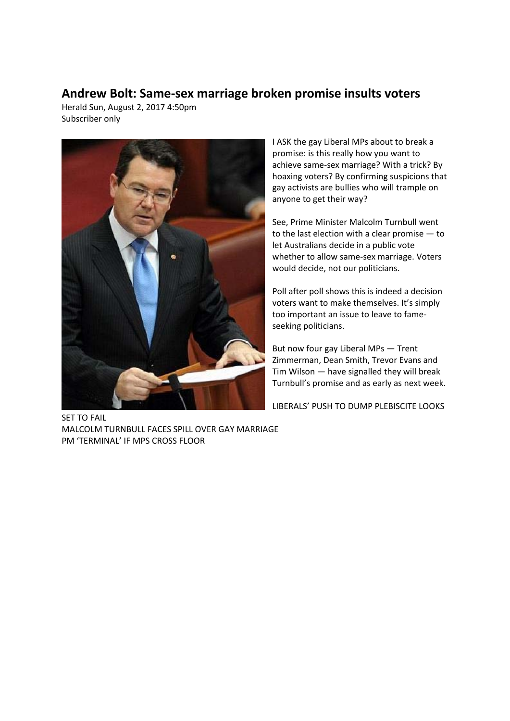## **Andrew Bolt: Same-sex marriage broken promise insults voters**

Herald Sun, August 2, 2017 4:50pm Subscriber only



I ASK the gay Liberal MPs about to break a promise: is this really how you want to achieve same-sex marriage? With a trick? By hoaxing voters? By confirming suspicions that gay activists are bullies who will trample on anyone to get their way?

See, Prime Minister Malcolm Turnbull went to the last election with a clear promise — to let Australians decide in a public vote whether to allow same-sex marriage. Voters would decide, not our politicians.

Poll after poll shows this is indeed a decision voters want to make themselves. It's simply too important an issue to leave to fameseeking politicians.

But now four gay Liberal MPs — Trent Zimmerman, Dean Smith, Trevor Evans and Tim Wilson — have signalled they will break Turnbull's promise and as early as next week.

LIBERALS' PUSH TO DUMP PLEBISCITE LOOKS

SET TO FAIL MALCOLM TURNBULL FACES SPILL OVER GAY MARRIAGE PM 'TERMINAL' IF MPS CROSS FLOOR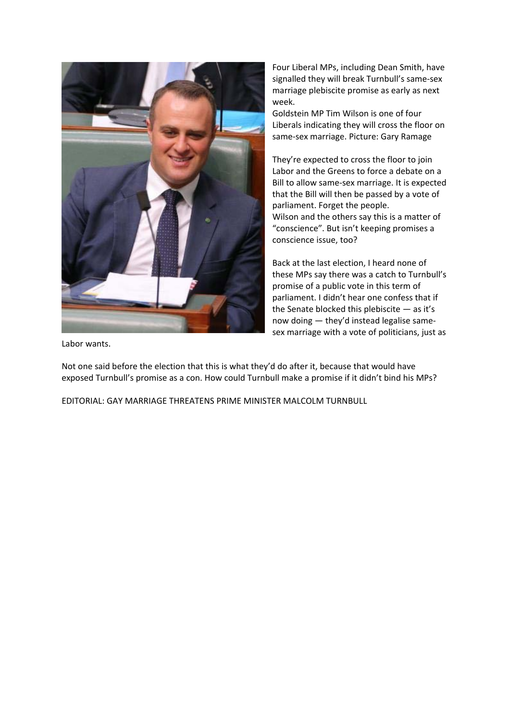

Four Liberal MPs, including Dean Smith, have signalled they will break Turnbull's same-sex marriage plebiscite promise as early as next week.

Goldstein MP Tim Wilson is one of four Liberals indicating they will cross the floor on same-sex marriage. Picture: Gary Ramage

They're expected to cross the floor to join Labor and the Greens to force a debate on a Bill to allow same-sex marriage. It is expected that the Bill will then be passed by a vote of parliament. Forget the people. Wilson and the others say this is a matter of "conscience". But isn't keeping promises a conscience issue, too?

Back at the last election, I heard none of these MPs say there was a catch to Turnbull's promise of a public vote in this term of parliament. I didn't hear one confess that if the Senate blocked this plebiscite — as it's now doing — they'd instead legalise samesex marriage with a vote of politicians, just as

Labor wants.

Not one said before the election that this is what they'd do after it, because that would have exposed Turnbull's promise as a con. How could Turnbull make a promise if it didn't bind his MPs?

EDITORIAL: GAY MARRIAGE THREATENS PRIME MINISTER MALCOLM TURNBULL